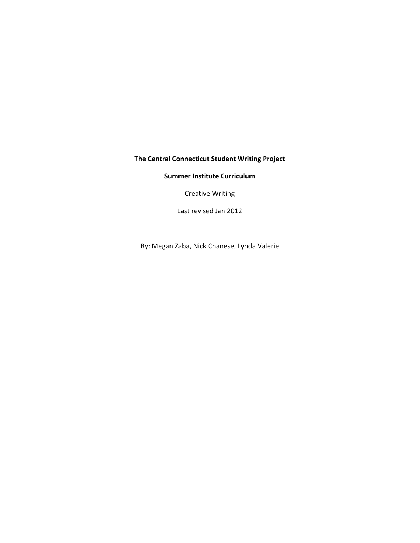**The Central Connecticut Student Writing Project**

**Summer Institute Curriculum**

Creative Writing

Last revised Jan 2012

By: Megan Zaba, Nick Chanese, Lynda Valerie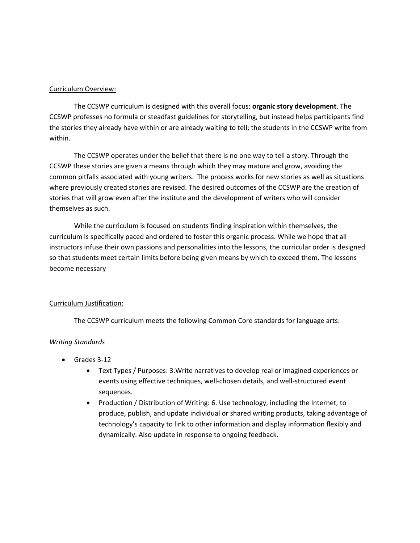#### Curriculum Overview:

The CCSWP curriculum is designed with this overall focus: **organic story development**. The CCSWP professes no formula or steadfast guidelines for storytelling, but instead helps participants find the stories they already have within or are already waiting to tell; the students in the CCSWP write from within.

The CCSWP operates under the belief that there is no one way to tell a story. Through the CCSWP these stories are given a means through which they may mature and grow, avoiding the common pitfalls associated with young writers. The process works for new stories as well as situations where previously created stories are revised. The desired outcomes of the CCSWP are the creation of stories that will grow even after the institute and the development of writers who will consider themselves as such.

While the curriculum is focused on students finding inspiration within themselves, the curriculum is specifically paced and ordered to foster this organic process. While we hope that all instructors infuse their own passions and personalities into the lessons, the curricular order is designed so that students meet certain limits before being given means by which to exceed them. The lessons become necessary

## Curriculum Justification:

The CCSWP curriculum meets the following Common Core standards for language arts:

#### *Writing Standards*

- Grades 3-12
	- Text Types / Purposes: 3.Write narratives to develop real or imagined experiences or events using effective techniques, well-chosen details, and well-structured event sequences.
	- Production / Distribution of Writing: 6. Use technology, including the Internet, to produce, publish, and update individual or shared writing products, taking advantage of technology's capacity to link to other information and display information flexibly and dynamically. Also update in response to ongoing feedback.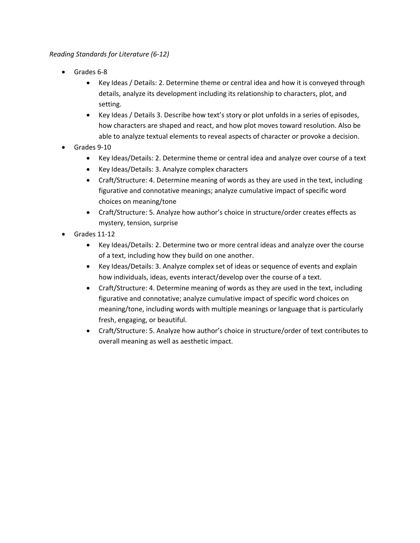## *Reading Standards for Literature (6-12)*

- Grades 6-8
	- Key Ideas / Details: 2. Determine theme or central idea and how it is conveyed through details, analyze its development including its relationship to characters, plot, and setting.
	- Key Ideas / Details 3. Describe how text's story or plot unfolds in a series of episodes, how characters are shaped and react, and how plot moves toward resolution. Also be able to analyze textual elements to reveal aspects of character or provoke a decision.
- Grades 9-10
	- Key Ideas/Details: 2. Determine theme or central idea and analyze over course of a text
	- Key Ideas/Details: 3. Analyze complex characters
	- Craft/Structure: 4. Determine meaning of words as they are used in the text, including figurative and connotative meanings; analyze cumulative impact of specific word choices on meaning/tone
	- Craft/Structure: 5. Analyze how author's choice in structure/order creates effects as mystery, tension, surprise
- Grades 11-12
	- Key Ideas/Details: 2. Determine two or more central ideas and analyze over the course of a text, including how they build on one another.
	- Key Ideas/Details: 3. Analyze complex set of ideas or sequence of events and explain how individuals, ideas, events interact/develop over the course of a text.
	- Craft/Structure: 4. Determine meaning of words as they are used in the text, including figurative and connotative; analyze cumulative impact of specific word choices on meaning/tone, including words with multiple meanings or language that is particularly fresh, engaging, or beautiful.
	- Craft/Structure: 5. Analyze how author's choice in structure/order of text contributes to overall meaning as well as aesthetic impact.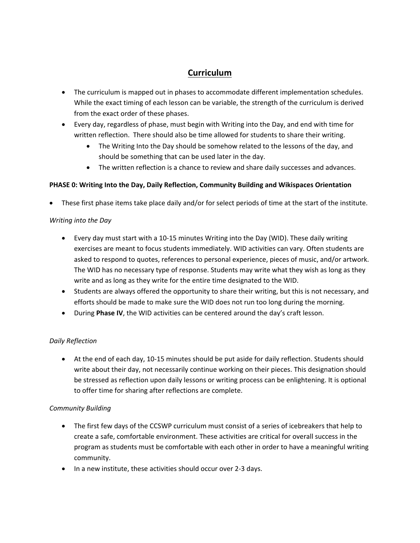# **Curriculum**

- The curriculum is mapped out in phases to accommodate different implementation schedules. While the exact timing of each lesson can be variable, the strength of the curriculum is derived from the exact order of these phases.
- Every day, regardless of phase, must begin with Writing into the Day, and end with time for written reflection. There should also be time allowed for students to share their writing.
	- The Writing Into the Day should be somehow related to the lessons of the day, and should be something that can be used later in the day.
	- The written reflection is a chance to review and share daily successes and advances.

# **PHASE 0: Writing Into the Day, Daily Reflection, Community Building and Wikispaces Orientation**

• These first phase items take place daily and/or for select periods of time at the start of the institute.

## *Writing into the Day*

- Every day must start with a 10-15 minutes Writing into the Day (WID). These daily writing exercises are meant to focus students immediately. WID activities can vary. Often students are asked to respond to quotes, references to personal experience, pieces of music, and/or artwork. The WID has no necessary type of response. Students may write what they wish as long as they write and as long as they write for the entire time designated to the WID.
- Students are always offered the opportunity to share their writing, but this is not necessary, and efforts should be made to make sure the WID does not run too long during the morning.
- During **Phase IV**, the WID activities can be centered around the day's craft lesson.

# *Daily Reflection*

• At the end of each day, 10-15 minutes should be put aside for daily reflection. Students should write about their day, not necessarily continue working on their pieces. This designation should be stressed as reflection upon daily lessons or writing process can be enlightening. It is optional to offer time for sharing after reflections are complete.

# *Community Building*

- The first few days of the CCSWP curriculum must consist of a series of icebreakers that help to create a safe, comfortable environment. These activities are critical for overall success in the program as students must be comfortable with each other in order to have a meaningful writing community.
- In a new institute, these activities should occur over 2-3 days.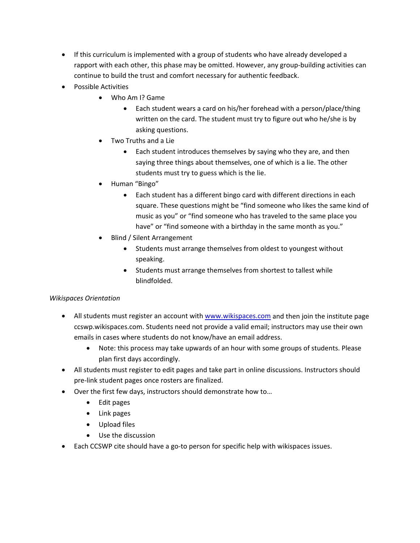- If this curriculum is implemented with a group of students who have already developed a rapport with each other, this phase may be omitted. However, any group-building activities can continue to build the trust and comfort necessary for authentic feedback.
- Possible Activities
	- Who Am I? Game
		- Each student wears a card on his/her forehead with a person/place/thing written on the card. The student must try to figure out who he/she is by asking questions.
	- Two Truths and a Lie
		- Each student introduces themselves by saying who they are, and then saying three things about themselves, one of which is a lie. The other students must try to guess which is the lie.
	- Human "Bingo"
		- Each student has a different bingo card with different directions in each square. These questions might be "find someone who likes the same kind of music as you" or "find someone who has traveled to the same place you have" or "find someone with a birthday in the same month as you."
	- Blind / Silent Arrangement
		- Students must arrange themselves from oldest to youngest without speaking.
		- Students must arrange themselves from shortest to tallest while blindfolded.

# *Wikispaces Orientation*

- All students must register an account with [www.wikispaces.com](http://www.wikispaces.com/) and then join the institute page ccswp.wikispaces.com. Students need not provide a valid email; instructors may use their own emails in cases where students do not know/have an email address.
	- Note: this process may take upwards of an hour with some groups of students. Please plan first days accordingly.
- All students must register to edit pages and take part in online discussions. Instructors should pre-link student pages once rosters are finalized.
- Over the first few days, instructors should demonstrate how to…
	- Edit pages
	- Link pages
	- Upload files
	- Use the discussion
- Each CCSWP cite should have a go-to person for specific help with wikispaces issues.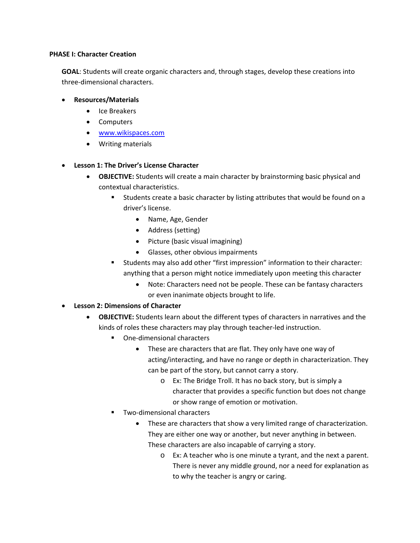## **PHASE I: Character Creation**

**GOAL**: Students will create organic characters and, through stages, develop these creations into three-dimensional characters.

- **Resources/Materials** 
	- Ice Breakers
	- Computers
	- [www.wikispaces.com](http://www.wikispaces.com/)
	- Writing materials

# • **Lesson 1: The Driver's License Character**

- **OBJECTIVE:** Students will create a main character by brainstorming basic physical and contextual characteristics.
	- Students create a basic character by listing attributes that would be found on a driver's license.
		- Name, Age, Gender
		- Address (setting)
		- Picture (basic visual imagining)
		- Glasses, other obvious impairments
	- Students may also add other "first impression" information to their character: anything that a person might notice immediately upon meeting this character
		- Note: Characters need not be people. These can be fantasy characters or even inanimate objects brought to life.
- **Lesson 2: Dimensions of Character**
	- **OBJECTIVE:** Students learn about the different types of characters in narratives and the kinds of roles these characters may play through teacher-led instruction.
		- One-dimensional characters
			- These are characters that are flat. They only have one way of acting/interacting, and have no range or depth in characterization. They can be part of the story, but cannot carry a story.
				- o Ex: The Bridge Troll. It has no back story, but is simply a character that provides a specific function but does not change or show range of emotion or motivation.
		- Two-dimensional characters
			- These are characters that show a very limited range of characterization. They are either one way or another, but never anything in between. These characters are also incapable of carrying a story.
				- o Ex: A teacher who is one minute a tyrant, and the next a parent. There is never any middle ground, nor a need for explanation as to why the teacher is angry or caring.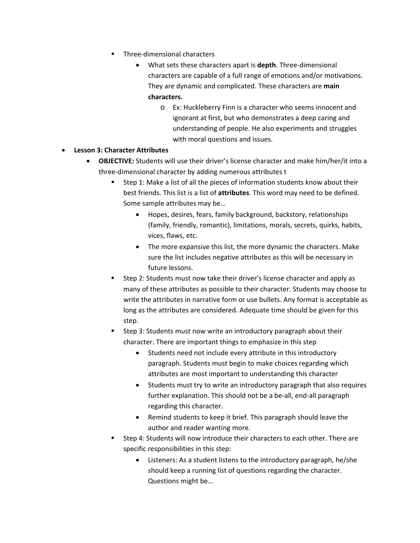- **Three-dimensional characters** 
	- What sets these characters apart is **depth**. Three-dimensional characters are capable of a full range of emotions and/or motivations. They are dynamic and complicated. These characters are **main characters.** 
		- o Ex: Huckleberry Finn is a character who seems innocent and ignorant at first, but who demonstrates a deep caring and understanding of people. He also experiments and struggles with moral questions and issues.

# • **Lesson 3: Character Attributes**

- **OBJECTIVE:** Students will use their driver's license character and make him/her/it into a three-dimensional character by adding numerous attributes t
	- Step 1: Make a list of all the pieces of information students know about their best friends. This list is a list of **attributes**. This word may need to be defined. Some sample attributes may be…
		- Hopes, desires, fears, family background, backstory, relationships (family, friendly, romantic), limitations, morals, secrets, quirks, habits, vices, flaws, etc.
		- The more expansive this list, the more dynamic the characters. Make sure the list includes negative attributes as this will be necessary in future lessons.
	- Step 2: Students must now take their driver's license character and apply as many of these attributes as possible to their character. Students may choose to write the attributes in narrative form or use bullets. Any format is acceptable as long as the attributes are considered. Adequate time should be given for this step.
	- Step 3: Students must now write an introductory paragraph about their character. There are important things to emphasize in this step
		- Students need not include every attribute in this introductory paragraph. Students must begin to make choices regarding which attributes are most important to understanding this character
		- Students must try to write an introductory paragraph that also requires further explanation. This should not be a be-all, end-all paragraph regarding this character.
		- Remind students to keep it brief. This paragraph should leave the author and reader wanting more.
	- Step 4: Students will now introduce their characters to each other. There are specific responsibilities in this step:
		- Listeners: As a student listens to the introductory paragraph, he/she should keep a running list of questions regarding the character. Questions might be…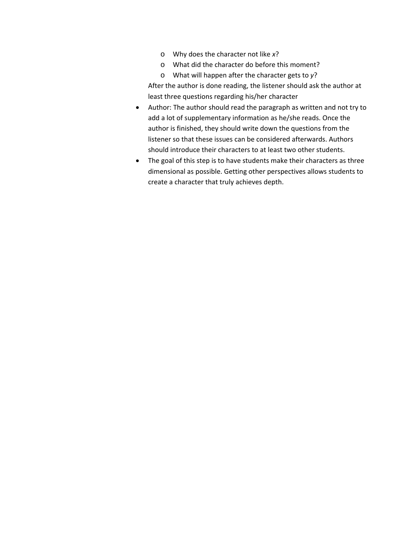- o Why does the character not like *x*?
- o What did the character do before this moment?
- o What will happen after the character gets to *y*?

After the author is done reading, the listener should ask the author at least three questions regarding his/her character

- Author: The author should read the paragraph as written and not try to add a lot of supplementary information as he/she reads. Once the author is finished, they should write down the questions from the listener so that these issues can be considered afterwards. Authors should introduce their characters to at least two other students.
- The goal of this step is to have students make their characters as three dimensional as possible. Getting other perspectives allows students to create a character that truly achieves depth.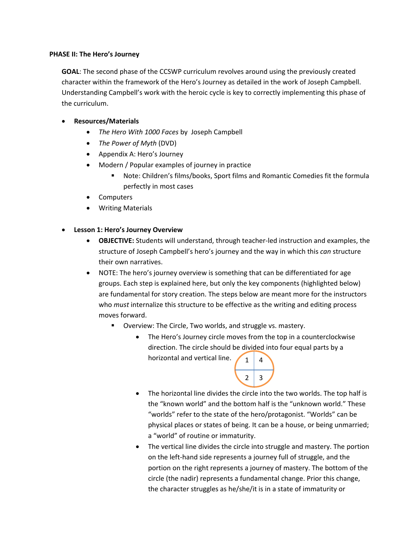## **PHASE II: The Hero's Journey**

**GOAL**: The second phase of the CCSWP curriculum revolves around using the previously created character within the framework of the Hero's Journey as detailed in the work of Joseph Campbell. Understanding Campbell's work with the heroic cycle is key to correctly implementing this phase of the curriculum.

## • **Resources/Materials**

- *The Hero With 1000 Faces* by Joseph Campbell
- *The Power of Myth* (DVD)
- Appendix A: Hero's Journey
- Modern / Popular examples of journey in practice
	- Note: Children's films/books, Sport films and Romantic Comedies fit the formula perfectly in most cases
- Computers
- Writing Materials

# • **Lesson 1: Hero's Journey Overview**

- **OBJECTIVE:** Students will understand, through teacher-led instruction and examples, the structure of Joseph Campbell's hero's journey and the way in which this *can* structure their own narratives.
- NOTE: The hero's journey overview is something that can be differentiated for age groups. Each step is explained here, but only the key components (highlighted below) are fundamental for story creation. The steps below are meant more for the instructors who *must* internalize this structure to be effective as the writing and editing process moves forward.
	- **Diamage:** Overview: The Circle, Two worlds, and struggle vs. mastery.
		- $\mathbf{1}$ • The Hero's Journey circle moves from the top in a counterclockwise direction. The circle should be divided into four equal parts by a horizontal and vertical line.
		- The horizontal line divides the circle into the two worlds. The top half is the "known world" and the bottom half is the "unknown world." These "worlds" refer to the state of the hero/protagonist. "Worlds" can be physical places or states of being. It can be a house, or being unmarried; a "world" of routine or immaturity.

2 3

• The vertical line divides the circle into struggle and mastery. The portion on the left-hand side represents a journey full of struggle, and the portion on the right represents a journey of mastery. The bottom of the circle (the nadir) represents a fundamental change. Prior this change, the character struggles as he/she/it is in a state of immaturity or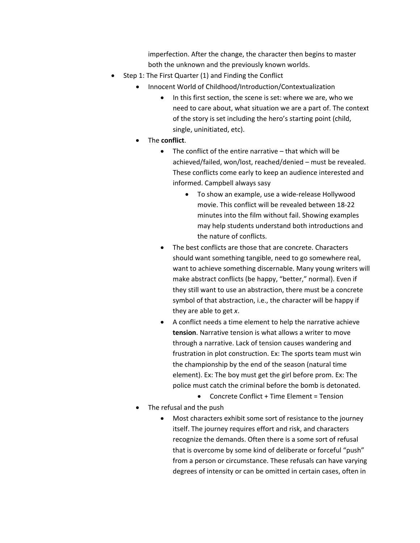imperfection. After the change, the character then begins to master both the unknown and the previously known worlds.

- Step 1: The First Quarter (1) and Finding the Conflict
	- Innocent World of Childhood/Introduction/Contextualization
		- In this first section, the scene is set: where we are, who we need to care about, what situation we are a part of. The context of the story is set including the hero's starting point (child, single, uninitiated, etc).
	- The **conflict**.
		- The conflict of the entire narrative that which will be achieved/failed, won/lost, reached/denied – must be revealed. These conflicts come early to keep an audience interested and informed. Campbell always sasy
			- To show an example, use a wide-release Hollywood movie. This conflict will be revealed between 18-22 minutes into the film without fail. Showing examples may help students understand both introductions and the nature of conflicts.
		- The best conflicts are those that are concrete. Characters should want something tangible, need to go somewhere real, want to achieve something discernable. Many young writers will make abstract conflicts (be happy, "better," normal). Even if they still want to use an abstraction, there must be a concrete symbol of that abstraction, i.e., the character will be happy if they are able to get *x*.
		- A conflict needs a time element to help the narrative achieve **tension**. Narrative tension is what allows a writer to move through a narrative. Lack of tension causes wandering and frustration in plot construction. Ex: The sports team must win the championship by the end of the season (natural time element). Ex: The boy must get the girl before prom. Ex: The police must catch the criminal before the bomb is detonated.
			- Concrete Conflict + Time Element = Tension
	- The refusal and the push
		- Most characters exhibit some sort of resistance to the journey itself. The journey requires effort and risk, and characters recognize the demands. Often there is a some sort of refusal that is overcome by some kind of deliberate or forceful "push" from a person or circumstance. These refusals can have varying degrees of intensity or can be omitted in certain cases, often in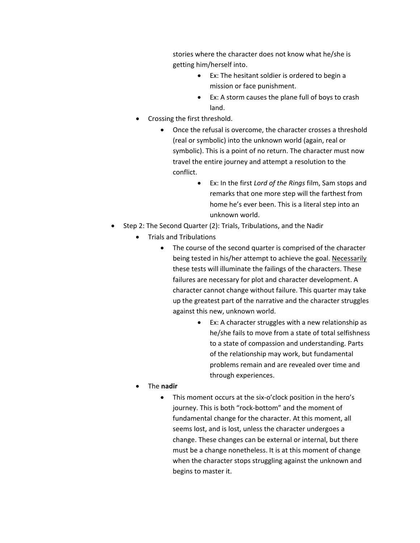stories where the character does not know what he/she is getting him/herself into.

- Ex: The hesitant soldier is ordered to begin a mission or face punishment.
- Ex: A storm causes the plane full of boys to crash land.
- Crossing the first threshold.
	- Once the refusal is overcome, the character crosses a threshold (real or symbolic) into the unknown world (again, real or symbolic). This is a point of no return. The character must now travel the entire journey and attempt a resolution to the conflict.
		- Ex: In the first *Lord of the Rings* film, Sam stops and remarks that one more step will the farthest from home he's ever been. This is a literal step into an unknown world.
- Step 2: The Second Quarter (2): Trials, Tribulations, and the Nadir
	- Trials and Tribulations
		- The course of the second quarter is comprised of the character being tested in his/her attempt to achieve the goal. Necessarily these tests will illuminate the failings of the characters. These failures are necessary for plot and character development. A character cannot change without failure. This quarter may take up the greatest part of the narrative and the character struggles against this new, unknown world.
			- Ex: A character struggles with a new relationship as he/she fails to move from a state of total selfishness to a state of compassion and understanding. Parts of the relationship may work, but fundamental problems remain and are revealed over time and through experiences.

## • The **nadir**

• This moment occurs at the six-o'clock position in the hero's journey. This is both "rock-bottom" and the moment of fundamental change for the character. At this moment, all seems lost, and is lost, unless the character undergoes a change. These changes can be external or internal, but there must be a change nonetheless. It is at this moment of change when the character stops struggling against the unknown and begins to master it.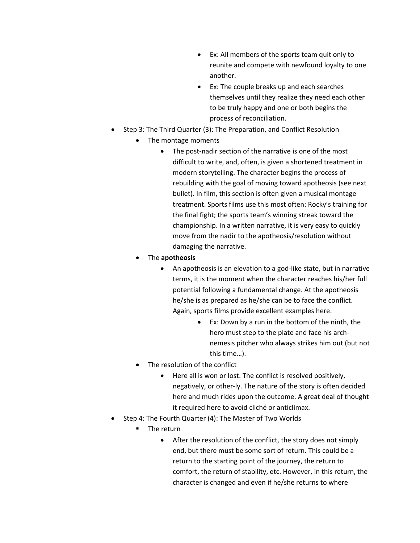- Ex: All members of the sports team quit only to reunite and compete with newfound loyalty to one another.
- Ex: The couple breaks up and each searches themselves until they realize they need each other to be truly happy and one or both begins the process of reconciliation.
- Step 3: The Third Quarter (3): The Preparation, and Conflict Resolution
	- The montage moments
		- The post-nadir section of the narrative is one of the most difficult to write, and, often, is given a shortened treatment in modern storytelling. The character begins the process of rebuilding with the goal of moving toward apotheosis (see next bullet). In film, this section is often given a musical montage treatment. Sports films use this most often: Rocky's training for the final fight; the sports team's winning streak toward the championship. In a written narrative, it is very easy to quickly move from the nadir to the apotheosis/resolution without damaging the narrative.
	- The **apotheosis** 
		- An apotheosis is an elevation to a god-like state, but in narrative terms, it is the moment when the character reaches his/her full potential following a fundamental change. At the apotheosis he/she is as prepared as he/she can be to face the conflict. Again, sports films provide excellent examples here.
			- Ex: Down by a run in the bottom of the ninth, the hero must step to the plate and face his archnemesis pitcher who always strikes him out (but not this time…).
	- The resolution of the conflict
		- Here all is won or lost. The conflict is resolved positively, negatively, or other-ly. The nature of the story is often decided here and much rides upon the outcome. A great deal of thought it required here to avoid cliché or anticlimax.
- Step 4: The Fourth Quarter (4): The Master of Two Worlds
	- **The return** 
		- After the resolution of the conflict, the story does not simply end, but there must be some sort of return. This could be a return to the starting point of the journey, the return to comfort, the return of stability, etc. However, in this return, the character is changed and even if he/she returns to where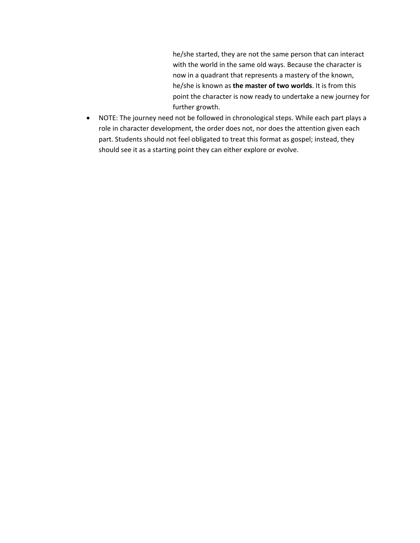he/she started, they are not the same person that can interact with the world in the same old ways. Because the character is now in a quadrant that represents a mastery of the known, he/she is known as **the master of two worlds**. It is from this point the character is now ready to undertake a new journey for further growth.

• NOTE: The journey need not be followed in chronological steps. While each part plays a role in character development, the order does not, nor does the attention given each part. Students should not feel obligated to treat this format as gospel; instead, they should see it as a starting point they can either explore or evolve.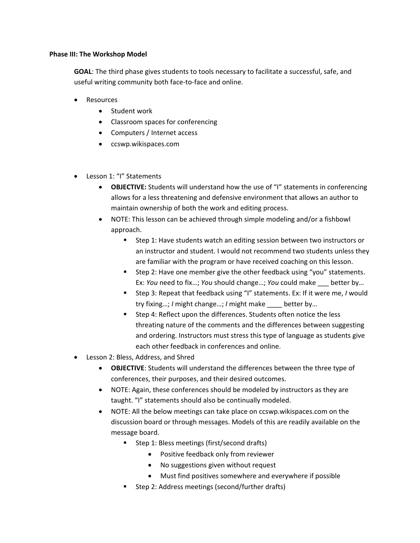#### **Phase III: The Workshop Model**

**GOAL**: The third phase gives students to tools necessary to facilitate a successful, safe, and useful writing community both face-to-face and online.

- **Resources** 
	- Student work
	- Classroom spaces for conferencing
	- Computers / Internet access
	- ccswp.wikispaces.com
- Lesson 1: "I" Statements
	- **OBJECTIVE:** Students will understand how the use of "I" statements in conferencing allows for a less threatening and defensive environment that allows an author to maintain ownership of both the work and editing process.
	- NOTE: This lesson can be achieved through simple modeling and/or a fishbowl approach.
		- Step 1: Have students watch an editing session between two instructors or an instructor and student. I would not recommend two students unless they are familiar with the program or have received coaching on this lesson.
		- Step 2: Have one member give the other feedback using "you" statements. Ex: *You* need to fix…; *You* should change…; *You* could make \_\_\_ better by…
		- Step 3: Repeat that feedback using "I" statements. Ex: If it were me, *I* would try fixing…; *I* might change…; *I* might make \_\_\_\_ better by…
		- Step 4: Reflect upon the differences. Students often notice the less threating nature of the comments and the differences between suggesting and ordering. Instructors must stress this type of language as students give each other feedback in conferences and online.
- Lesson 2: Bless, Address, and Shred
	- **OBJECTIVE**: Students will understand the differences between the three type of conferences, their purposes, and their desired outcomes.
	- NOTE: Again, these conferences should be modeled by instructors as they are taught. "I" statements should also be continually modeled.
	- NOTE: All the below meetings can take place on ccswp.wikispaces.com on the discussion board or through messages. Models of this are readily available on the message board.
		- Step 1: Bless meetings (first/second drafts)
			- Positive feedback only from reviewer
			- No suggestions given without request
			- Must find positives somewhere and everywhere if possible
		- **Step 2: Address meetings (second/further drafts)**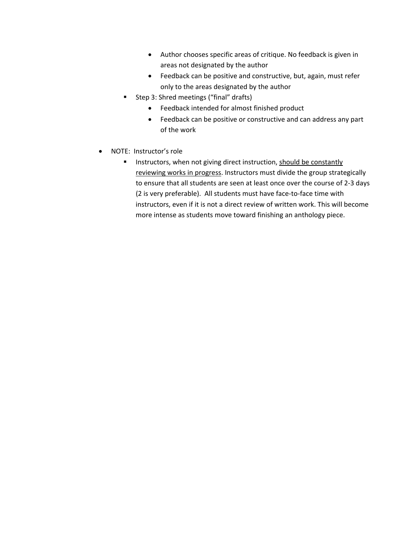- Author chooses specific areas of critique. No feedback is given in areas not designated by the author
- Feedback can be positive and constructive, but, again, must refer only to the areas designated by the author
- Step 3: Shred meetings ("final" drafts)
	- Feedback intended for almost finished product
	- Feedback can be positive or constructive and can address any part of the work
- NOTE: Instructor's role
	- **Instructors, when not giving direct instruction, should be constantly** reviewing works in progress. Instructors must divide the group strategically to ensure that all students are seen at least once over the course of 2-3 days (2 is very preferable). All students must have face-to-face time with instructors, even if it is not a direct review of written work. This will become more intense as students move toward finishing an anthology piece.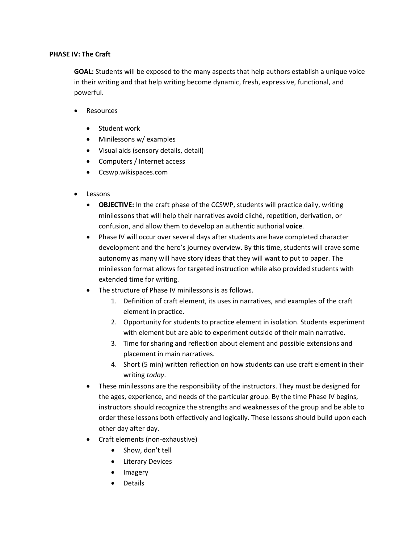#### **PHASE IV: The Craft**

**GOAL:** Students will be exposed to the many aspects that help authors establish a unique voice in their writing and that help writing become dynamic, fresh, expressive, functional, and powerful.

- **Resources** 
	- Student work
	- Minilessons w/ examples
	- Visual aids (sensory details, detail)
	- Computers / Internet access
	- Ccswp.wikispaces.com
- Lessons
	- **OBJECTIVE:** In the craft phase of the CCSWP, students will practice daily, writing minilessons that will help their narratives avoid cliché, repetition, derivation, or confusion, and allow them to develop an authentic authorial **voice**.
	- Phase IV will occur over several days after students are have completed character development and the hero's journey overview. By this time, students will crave some autonomy as many will have story ideas that they will want to put to paper. The minilesson format allows for targeted instruction while also provided students with extended time for writing.
	- The structure of Phase IV minilessons is as follows.
		- 1. Definition of craft element, its uses in narratives, and examples of the craft element in practice.
		- 2. Opportunity for students to practice element in isolation. Students experiment with element but are able to experiment outside of their main narrative.
		- 3. Time for sharing and reflection about element and possible extensions and placement in main narratives.
		- 4. Short (5 min) written reflection on how students can use craft element in their writing *today*.
	- These minilessons are the responsibility of the instructors. They must be designed for the ages, experience, and needs of the particular group. By the time Phase IV begins, instructors should recognize the strengths and weaknesses of the group and be able to order these lessons both effectively and logically. These lessons should build upon each other day after day.
	- Craft elements (non-exhaustive)
		- Show, don't tell
		- Literary Devices
		- Imagery
		- Details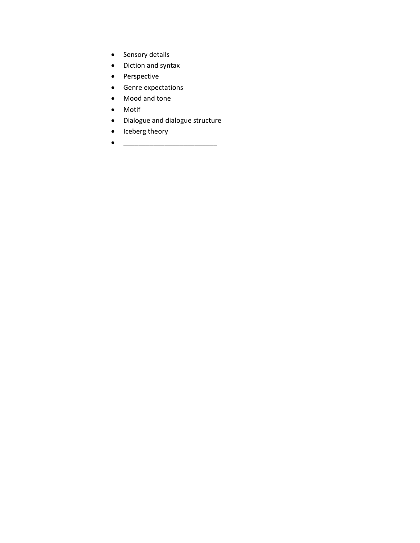- Sensory details
- Diction and syntax
- Perspective
- Genre expectations
- Mood and tone
- Motif
- Dialogue and dialogue structure
- Iceberg theory
- $\bullet$   $\qquad \qquad$   $\qquad$   $\qquad$   $\qquad$   $\qquad$   $\qquad$   $\qquad$   $\qquad$   $\qquad$   $\qquad$   $\qquad$   $\qquad$   $\qquad$   $\qquad$   $\qquad$   $\qquad$   $\qquad$   $\qquad$   $\qquad$   $\qquad$   $\qquad$   $\qquad$   $\qquad$   $\qquad$   $\qquad$   $\qquad$   $\qquad$   $\qquad$   $\qquad$   $\qquad$   $\qquad$   $\qquad$   $\qquad$   $\qquad$   $\qquad$   $\q$